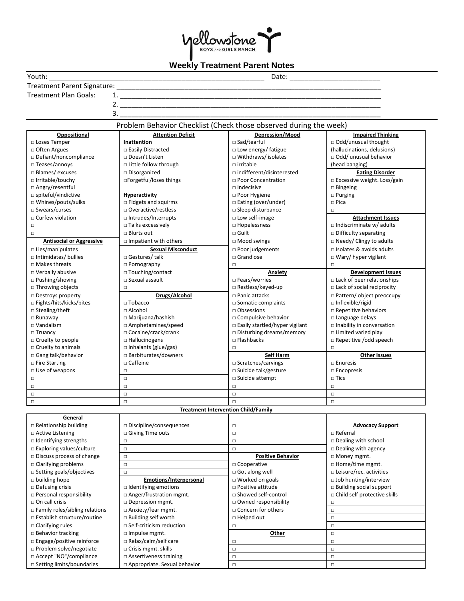

## **Weekly Treatment Parent Notes**

|                                       | . . <b>. . .</b>                                                  |                                            |                                   |
|---------------------------------------|-------------------------------------------------------------------|--------------------------------------------|-----------------------------------|
| Youth:                                |                                                                   |                                            |                                   |
|                                       |                                                                   |                                            |                                   |
| <b>Treatment Plan Goals:</b>          |                                                                   |                                            |                                   |
|                                       |                                                                   |                                            |                                   |
|                                       |                                                                   |                                            |                                   |
|                                       | 3.                                                                |                                            |                                   |
|                                       | Problem Behavior Checklist (Check those observed during the week) |                                            |                                   |
| Oppositional                          | <b>Attention Deficit</b>                                          | Depression/Mood                            | <b>Impaired Thinking</b>          |
| □ Loses Temper                        | Inattention                                                       | □ Sad/tearful                              | □ Odd/unusual thought             |
| □ Often Argues                        | □ Easily Distracted                                               | □ Low energy/ fatigue                      | (hallucinations, delusions)       |
| $\Box$ Defiant/noncompliance          | □ Doesn't Listen                                                  | □ Withdraws/ isolates                      | □ Odd/ unusual behavior           |
| $\Box$ Teases/annoys                  | $\Box$ Little follow through                                      | $\Box$ irritable                           | (head banging)                    |
| $\Box$ Blames/ excuses                | $\square$ Disorganized                                            | $\Box$ indifferent/disinterested           | <b>Eating Disorder</b>            |
| □ Irritable/touchy                    | □Forgetful/loses things                                           | □ Poor Concentration                       | □ Excessive weight. Loss/gain     |
| □ Angry/resentful                     |                                                                   | $\Box$ Indecisive                          | $\Box$ Bingeing                   |
| □ spiteful/vindictive                 | Hyperactivity                                                     | □ Poor Hygiene                             | $\square$ Purging                 |
| □ Whines/pouts/sulks                  | $\Box$ Fidgets and squirms                                        | □ Eating (over/under)                      | $\square$ Pica                    |
| $\square$ Swears/curses               | □ Overactive/restless                                             | $\square$ Sleep disturbance                | $\Box$                            |
| □ Curfew violation                    | □ Intrudes/Interrupts                                             | □ Low self-image                           | <b>Attachment Issues</b>          |
| $\Box$                                | $\Box$ Talks excessively                                          | □ Hopelessness                             | □ Indiscriminate w/ adults        |
| $\Box$                                | $\Box$ Blurts out                                                 | $\square$ Guilt                            | $\Box$ Difficulty separating      |
| <b>Antisocial or Aggressive</b>       | $\Box$ Impatient with others                                      | $\Box$ Mood swings                         | □ Needy/ Clingy to adults         |
| $\Box$ Lies/manipulates               | <b>Sexual Misconduct</b>                                          | $\Box$ Poor judgements                     | $\Box$ Isolates & avoids adults   |
| $\Box$ Intimidates/ bullies           | □ Gestures/ talk                                                  | $\Box$ Grandiose                           | □ Wary/ hyper vigilant            |
| □ Makes threats                       | $\Box$ Pornography                                                | $\Box$                                     | $\Box$                            |
| □ Verbally abusive                    | □ Touching/contact                                                | Anxiety                                    | <b>Development Issues</b>         |
| $\Box$ Pushing/shoving                | $\square$ Sexual assault                                          | $\Box$ Fears/worries                       | $\Box$ Lack of peer relationships |
| □ Throwing objects                    | $\Box$                                                            | □ Restless/keyed-up                        | □ Lack of social reciprocity      |
| □ Destroys property                   | Drugs/Alcohol                                                     | $\Box$ Panic attacks                       | □ Pattern/ object preoccupy       |
| □ Fights/hits/kicks/bites             | $\Box$ Tobacco                                                    | $\Box$ Somatic complaints                  | $\Box$ Inflexible/rigid           |
| □ Stealing/theft                      | $\Box$ Alcohol                                                    | $\Box$ Obsessions                          | □ Repetitive behaviors            |
| $\Box$ Runaway                        | $\Box$ Marijuana/hashish                                          | $\Box$ Compulsive behavior                 | $\Box$ Language delays            |
| $\Box$ Vandalism                      | $\Box$ Amphetamines/speed                                         | □ Easily startled/hyper vigilant           | Inability in conversation         |
| $\Box$ Truancy                        | □ Cocaine/crack/crank                                             | $\Box$ Disturbing dreams/memory            | $\Box$ Limited varied play        |
| $\Box$ Cruelty to people              | $\Box$ Hallucinogens                                              | $\Box$ Flashbacks                          | $\Box$ Repetitive /odd speech     |
| □ Cruelty to animals                  | $\Box$ Inhalants (glue/gas)                                       | $\Box$                                     | $\Box$                            |
| $\Box$ Gang talk/behavior             | $\Box$ Barbiturates/downers                                       | Self Harm                                  | <b>Other Issues</b>               |
| $\Box$ Fire Starting                  | $\Box$ Caffeine                                                   | □ Scratches/carvings                       | $\square$ Enuresis                |
| $\Box$ Use of weapons                 | $\Box$                                                            | □ Suicide talk/gesture                     | $\square$ Encopresis              |
| □                                     | $\Box$                                                            | □ Suicide attempt                          | $\square$ Tics                    |
| $\Box$                                | $\Box$                                                            | $\Box$                                     | $\Box$                            |
| $\Box$                                | $\Box$                                                            | $\Box$                                     | $\Box$                            |
| $\Box$                                | $\Box$                                                            | $\Box$                                     | $\Box$                            |
|                                       |                                                                   | <b>Treatment Intervention Child/Family</b> |                                   |
| General                               |                                                                   |                                            |                                   |
| $\Box$ Relationship building          | $\Box$ Discipline/consequences                                    | $\Box$                                     | <b>Advocacy Support</b>           |
| □ Active Listening                    | □ Giving Time outs                                                | $\Box$                                     | □ Referral                        |
| $\Box$ Identifying strengths          | $\Box$                                                            | $\Box$                                     | $\Box$ Dealing with school        |
| $\Box$ Exploring values/culture       | $\Box$                                                            | $\Box$                                     | $\square$ Dealing with agency     |
| $\Box$ Discuss process of change      | $\Box$                                                            | <b>Positive Behavior</b>                   | □ Money mgmt.                     |
| $\Box$ Clarifying problems            | $\Box$                                                            | □ Cooperative                              | □ Home/time mgmt.                 |
| $\square$ Setting goals/objectives    | $\Box$                                                            | $\Box$ Got along well                      | □ Leisure/rec. activities         |
| $\Box$ building hope                  | Emotions/Interpersonal                                            | $\Box$ Worked on goals                     | $\Box$ Job hunting/interview      |
| $\Box$ Defusing crisis                | $\Box$ Identifying emotions                                       | $\Box$ Positive attitude                   | <b>Building social support</b>    |
| $\Box$ Personal responsibility        | $\Box$ Anger/frustration mgmt.                                    | $\sqcap$ Showed self-control               | □ Child self protective skills    |
| $\Box$ On call crisis                 | □ Depression mgmt.                                                | □ Owned responsibility                     | $\Box$                            |
| $\Box$ Family roles/sibling relations | $\Box$ Anxiety/fear mgmt.                                         | □ Concern for others                       | $\Box$                            |
| □ Establish structure/routine         | $\Box$ Building self worth                                        | $\Box$ Helped out                          | $\Box$                            |
| $\Box$ Clarifying rules               | $\Box$ Self-criticism reduction                                   | $\Box$                                     | $\Box$                            |
| $\Box$ Behavior tracking              | $\Box$ Impulse mgmt.                                              | Other                                      | $\Box$                            |
| $\Box$ Engage/positive reinforce      | $\Box$ Relax/calm/self care                                       | $\Box$                                     | $\Box$                            |
| $\Box$ Problem solve/negotiate        | $\Box$ Crisis mgmt. skills                                        | $\Box$                                     | $\Box$                            |
| □ Accept "NO"/compliance              | $\Box$ Assertiveness training                                     | $\Box$                                     | $\Box$                            |
| □ Setting limits/boundaries           | □ Appropriate. Sexual behavior                                    | $\Box$                                     | $\Box$                            |